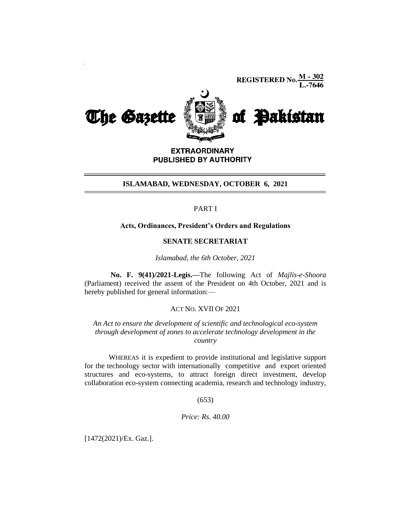**REGISTERED No.**  $\frac{M - 302}{L - 7646}$ 



**EXTRAORDINARY** PUBLISHED BY AUTHORITY

#### **ISLAMABAD, WEDNESDAY, OCTOBER 6, 2021**

# PART I

#### **Acts, Ordinances, President's Orders and Regulations**

## **SENATE SECRETARIAT**

*Islamabad, the 6th October, 2021*

**No. F. 9(41)/2021-Legis.—**The following Act of *Majlis-e-Shoora*  (Parliament) received the assent of the President on 4th October, 2021 and is hereby published for general information:—

# ACT NO. XVII OF 2021

*An Act to ensure the development of scientific and technological eco-system through development of zones to accelerate technology development in the country*

WHEREAS it is expedient to provide institutional and legislative support for the technology sector with internationally competitive and export oriented structures and eco-systems, to attract foreign direct investment, develop collaboration eco-system connecting academia, research and technology industry,

(653)

# *Price: Rs. 40.00*

[1472(2021)/Ex. Gaz.].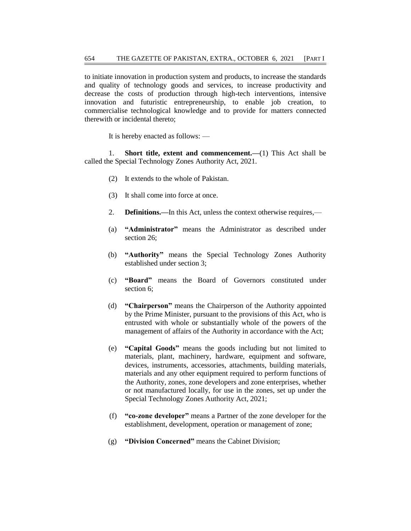to initiate innovation in production system and products, to increase the standards and quality of technology goods and services, to increase productivity and decrease the costs of production through high-tech interventions, intensive innovation and futuristic entrepreneurship, to enable job creation, to commercialise technological knowledge and to provide for matters connected therewith or incidental thereto;

It is hereby enacted as follows: —

1. **Short title, extent and commencement.—**(1) This Act shall be called the Special Technology Zones Authority Act, 2021.

- (2) It extends to the whole of Pakistan.
- (3) It shall come into force at once.
- 2. **Definitions.—**In this Act, unless the context otherwise requires,—
- (a) **"Administrator"** means the Administrator as described under section 26;
- (b) **"Authority"** means the Special Technology Zones Authority established under section 3;
- (c) **"Board"** means the Board of Governors constituted under section 6;
- (d) **"Chairperson"** means the Chairperson of the Authority appointed by the Prime Minister, pursuant to the provisions of this Act, who is entrusted with whole or substantially whole of the powers of the management of affairs of the Authority in accordance with the Act;
- (e) **"Capital Goods"** means the goods including but not limited to materials, plant, machinery, hardware, equipment and software, devices, instruments, accessories, attachments, building materials, materials and any other equipment required to perform functions of the Authority, zones, zone developers and zone enterprises, whether or not manufactured locally, for use in the zones, set up under the Special Technology Zones Authority Act, 2021;
- (f) **"co-zone developer"** means a Partner of the zone developer for the establishment, development, operation or management of zone;
- (g) **"Division Concerned"** means the Cabinet Division;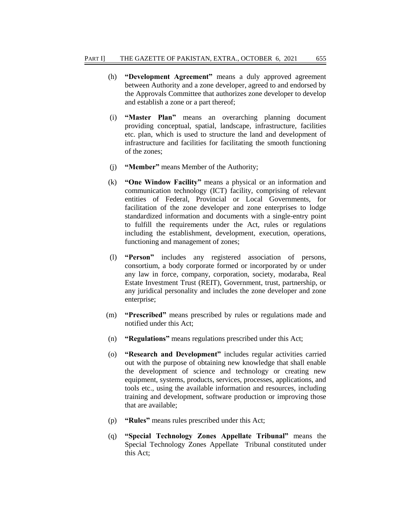- (h) **"Development Agreement"** means a duly approved agreement between Authority and a zone developer, agreed to and endorsed by the Approvals Committee that authorizes zone developer to develop and establish a zone or a part thereof;
- (i) **"Master Plan"** means an overarching planning document providing conceptual, spatial, landscape, infrastructure, facilities etc. plan, which is used to structure the land and development of infrastructure and facilities for facilitating the smooth functioning of the zones;
- (j) **"Member"** means Member of the Authority;
- (k) **"One Window Facility"** means a physical or an information and communication technology (ICT) facility, comprising of relevant entities of Federal, Provincial or Local Governments, for facilitation of the zone developer and zone enterprises to lodge standardized information and documents with a single-entry point to fulfill the requirements under the Act, rules or regulations including the establishment, development, execution, operations, functioning and management of zones;
- (l) **"Person"** includes any registered association of persons, consortium, a body corporate formed or incorporated by or under any law in force, company, corporation, society, modaraba, Real Estate Investment Trust (REIT), Government, trust, partnership, or any juridical personality and includes the zone developer and zone enterprise;
- (m) **"Prescribed"** means prescribed by rules or regulations made and notified under this Act;
- (n) **"Regulations"** means regulations prescribed under this Act;
- (o) **"Research and Development"** includes regular activities carried out with the purpose of obtaining new knowledge that shall enable the development of science and technology or creating new equipment, systems, products, services, processes, applications, and tools etc., using the available information and resources, including training and development, software production or improving those that are available;
- (p) **"Rules"** means rules prescribed under this Act;
- (q) **"Special Technology Zones Appellate Tribunal"** means the Special Technology Zones Appellate Tribunal constituted under this Act;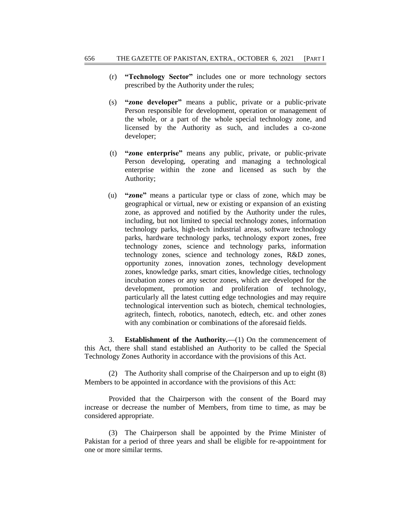- (r) **"Technology Sector"** includes one or more technology sectors prescribed by the Authority under the rules;
- (s) **"zone developer"** means a public, private or a public-private Person responsible for development, operation or management of the whole, or a part of the whole special technology zone, and licensed by the Authority as such, and includes a co-zone developer;
- (t) **"zone enterprise"** means any public, private, or public-private Person developing, operating and managing a technological enterprise within the zone and licensed as such by the Authority;
- (u) **"zone"** means a particular type or class of zone, which may be geographical or virtual, new or existing or expansion of an existing zone, as approved and notified by the Authority under the rules, including, but not limited to special technology zones, information technology parks, high-tech industrial areas, software technology parks, hardware technology parks, technology export zones, free technology zones, science and technology parks, information technology zones, science and technology zones, R&D zones, opportunity zones, innovation zones, technology development zones, knowledge parks, smart cities, knowledge cities, technology incubation zones or any sector zones, which are developed for the development, promotion and proliferation of technology, particularly all the latest cutting edge technologies and may require technological intervention such as biotech, chemical technologies, agritech, fintech, robotics, nanotech, edtech, etc. and other zones with any combination or combinations of the aforesaid fields.

3. **Establishment of the Authority.—**(1) On the commencement of this Act, there shall stand established an Authority to be called the Special Technology Zones Authority in accordance with the provisions of this Act.

(2) The Authority shall comprise of the Chairperson and up to eight (8) Members to be appointed in accordance with the provisions of this Act:

Provided that the Chairperson with the consent of the Board may increase or decrease the number of Members, from time to time, as may be considered appropriate.

(3) The Chairperson shall be appointed by the Prime Minister of Pakistan for a period of three years and shall be eligible for re-appointment for one or more similar terms.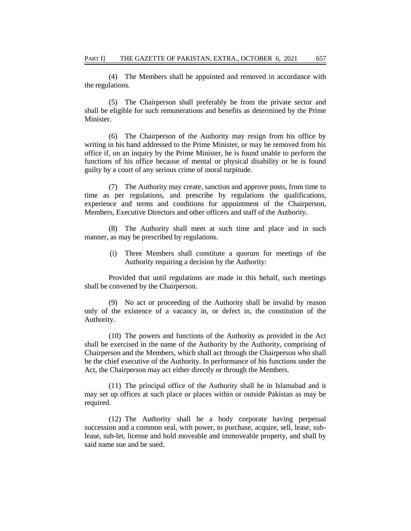(4) The Members shall be appointed and removed in accordance with the regulations.

(5) The Chairperson shall preferably be from the private sector and shall be eligible for such remunerations and benefits as determined by the Prime Minister.

(6) The Chairperson of the Authority may resign from his office by writing in his hand addressed to the Prime Minister, or may be removed from his office if, on an inquiry by the Prime Minister, he is found unable to perform the functions of his office because of mental or physical disability or he is found guilty by a court of any serious crime of moral turpitude.

(7) The Authority may create, sanction and approve posts, from time to time as per regulations, and prescribe by regulations the qualifications, experience and terms and conditions for appointment of the Chairperson, Members, Executive Directors and other officers and staff of the Authority.

(8) The Authority shall meet at such time and place and in such manner, as may be prescribed by regulations.

> (i) Three Members shall constitute a quorum for meetings of the Authority requiring a decision by the Authority:

Provided that until regulations are made in this behalf, such meetings shall be convened by the Chairperson.

(9) No act or proceeding of the Authority shall be invalid by reason only of the existence of a vacancy in, or defect in, the constitution of the Authority.

(10) The powers and functions of the Authority as provided in the Act shall be exercised in the name of the Authority by the Authority, comprising of Chairperson and the Members, which shall act through the Chairperson who shall be the chief executive of the Authority. In performance of his functions under the Act, the Chairperson may act either directly or through the Members.

(11) The principal office of the Authority shall be in Islamabad and it may set up offices at such place or places within or outside Pakistan as may be required.

(12) The Authority shall be a body corporate having perpetual succession and a common seal, with power, to purchase, acquire, sell, lease, sublease, sub-let, license and hold moveable and immoveable property, and shall by said name sue and be sued.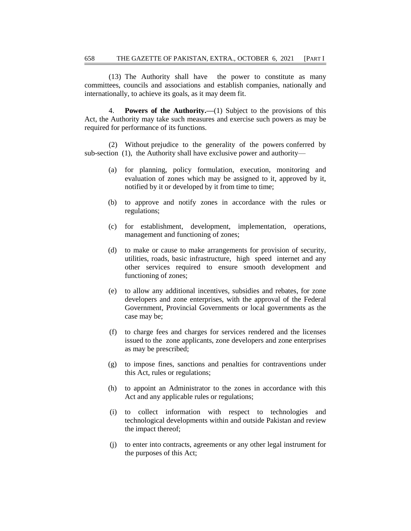(13) The Authority shall have the power to constitute as many committees, councils and associations and establish companies, nationally and internationally, to achieve its goals, as it may deem fit.

4. **Powers of the Authority.—**(1) Subject to the provisions of this Act, the Authority may take such measures and exercise such powers as may be required for performance of its functions.

(2) Without prejudice to the generality of the powers conferred by sub-section (1), the Authority shall have exclusive power and authority—

- (a) for planning, policy formulation, execution, monitoring and evaluation of zones which may be assigned to it, approved by it, notified by it or developed by it from time to time;
- (b) to approve and notify zones in accordance with the rules or regulations;
- (c) for establishment, development, implementation, operations, management and functioning of zones;
- (d) to make or cause to make arrangements for provision of security, utilities, roads, basic infrastructure, high speed internet and any other services required to ensure smooth development and functioning of zones;
- (e) to allow any additional incentives, subsidies and rebates, for zone developers and zone enterprises, with the approval of the Federal Government, Provincial Governments or local governments as the case may be;
- (f) to charge fees and charges for services rendered and the licenses issued to the zone applicants, zone developers and zone enterprises as may be prescribed;
- (g) to impose fines, sanctions and penalties for contraventions under this Act, rules or regulations;
- (h) to appoint an Administrator to the zones in accordance with this Act and any applicable rules or regulations;
- (i) to collect information with respect to technologies and technological developments within and outside Pakistan and review the impact thereof;
- (j) to enter into contracts, agreements or any other legal instrument for the purposes of this Act;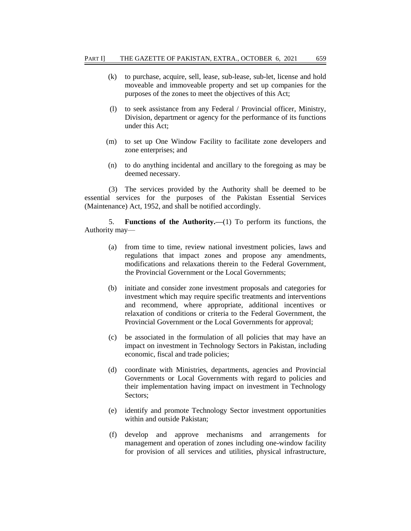- (k) to purchase, acquire, sell, lease, sub-lease, sub-let, license and hold moveable and immoveable property and set up companies for the purposes of the zones to meet the objectives of this Act;
- (l) to seek assistance from any Federal / Provincial officer, Ministry, Division, department or agency for the performance of its functions under this Act;
- (m) to set up One Window Facility to facilitate zone developers and zone enterprises; and
- (n) to do anything incidental and ancillary to the foregoing as may be deemed necessary.

(3) The services provided by the Authority shall be deemed to be essential services for the purposes of the Pakistan Essential Services (Maintenance) Act, 1952, and shall be notified accordingly.

5. **Functions of the Authority.—**(1) To perform its functions, the Authority may—

- (a) from time to time, review national investment policies, laws and regulations that impact zones and propose any amendments, modifications and relaxations therein to the Federal Government, the Provincial Government or the Local Governments;
- (b) initiate and consider zone investment proposals and categories for investment which may require specific treatments and interventions and recommend, where appropriate, additional incentives or relaxation of conditions or criteria to the Federal Government, the Provincial Government or the Local Governments for approval;
- (c) be associated in the formulation of all policies that may have an impact on investment in Technology Sectors in Pakistan, including economic, fiscal and trade policies;
- (d) coordinate with Ministries, departments, agencies and Provincial Governments or Local Governments with regard to policies and their implementation having impact on investment in Technology Sectors;
- (e) identify and promote Technology Sector investment opportunities within and outside Pakistan;
- (f) develop and approve mechanisms and arrangements for management and operation of zones including one-window facility for provision of all services and utilities, physical infrastructure,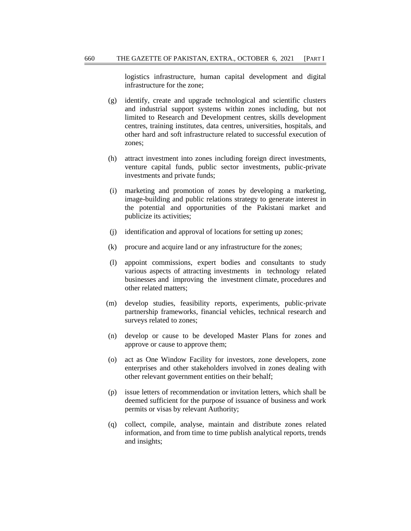logistics infrastructure, human capital development and digital infrastructure for the zone;

- (g) identify, create and upgrade technological and scientific clusters and industrial support systems within zones including, but not limited to Research and Development centres, skills development centres, training institutes, data centres, universities, hospitals, and other hard and soft infrastructure related to successful execution of zones;
- (h) attract investment into zones including foreign direct investments, venture capital funds, public sector investments, public-private investments and private funds;
- (i) marketing and promotion of zones by developing a marketing, image-building and public relations strategy to generate interest in the potential and opportunities of the Pakistani market and publicize its activities;
- (j) identification and approval of locations for setting up zones;
- (k) procure and acquire land or any infrastructure for the zones;
- (l) appoint commissions, expert bodies and consultants to study various aspects of attracting investments in technology related businesses and improving the investment climate, procedures and other related matters;
- (m) develop studies, feasibility reports, experiments, public-private partnership frameworks, financial vehicles, technical research and surveys related to zones;
- (n) develop or cause to be developed Master Plans for zones and approve or cause to approve them;
- (o) act as One Window Facility for investors, zone developers, zone enterprises and other stakeholders involved in zones dealing with other relevant government entities on their behalf;
- (p) issue letters of recommendation or invitation letters, which shall be deemed sufficient for the purpose of issuance of business and work permits or visas by relevant Authority;
- (q) collect, compile, analyse, maintain and distribute zones related information, and from time to time publish analytical reports, trends and insights;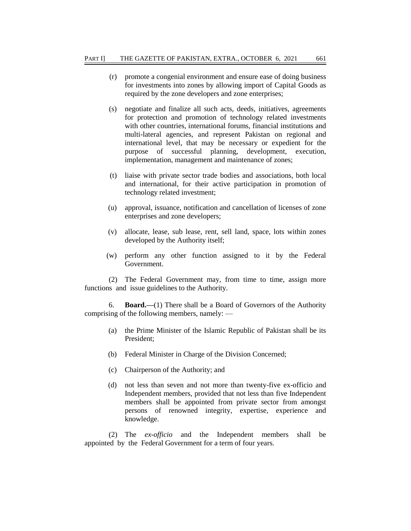- (r) promote a congenial environment and ensure ease of doing business for investments into zones by allowing import of Capital Goods as required by the zone developers and zone enterprises;
- (s) negotiate and finalize all such acts, deeds, initiatives, agreements for protection and promotion of technology related investments with other countries, international forums, financial institutions and multi-lateral agencies, and represent Pakistan on regional and international level, that may be necessary or expedient for the purpose of successful planning, development, execution, implementation, management and maintenance of zones;
- (t) liaise with private sector trade bodies and associations, both local and international, for their active participation in promotion of technology related investment;
- (u) approval, issuance, notification and cancellation of licenses of zone enterprises and zone developers;
- (v) allocate, lease, sub lease, rent, sell land, space, lots within zones developed by the Authority itself;
- (w) perform any other function assigned to it by the Federal Government.

(2) The Federal Government may, from time to time, assign more functions and issue guidelines to the Authority.

6. **Board.—**(1) There shall be a Board of Governors of the Authority comprising of the following members, namely: —

- (a) the Prime Minister of the Islamic Republic of Pakistan shall be its President;
- (b) Federal Minister in Charge of the Division Concerned;
- (c) Chairperson of the Authority; and
- (d) not less than seven and not more than twenty-five ex-officio and Independent members, provided that not less than five Independent members shall be appointed from private sector from amongst persons of renowned integrity, expertise, experience and knowledge.

(2) The *ex-officio* and the Independent members shall be appointed by the Federal Government for a term of four years.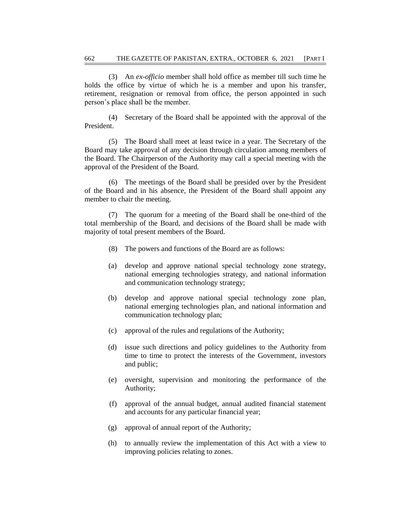(3) An *ex-officio* member shall hold office as member till such time he holds the office by virtue of which he is a member and upon his transfer, retirement, resignation or removal from office, the person appointed in such person's place shall be the member.

(4) Secretary of the Board shall be appointed with the approval of the President.

(5) The Board shall meet at least twice in a year. The Secretary of the Board may take approval of any decision through circulation among members of the Board. The Chairperson of the Authority may call a special meeting with the approval of the President of the Board.

(6) The meetings of the Board shall be presided over by the President of the Board and in his absence, the President of the Board shall appoint any member to chair the meeting.

(7) The quorum for a meeting of the Board shall be one-third of the total membership of the Board, and decisions of the Board shall be made with majority of total present members of the Board.

- (8) The powers and functions of the Board are as follows:
- (a) develop and approve national special technology zone strategy, national emerging technologies strategy, and national information and communication technology strategy;
- (b) develop and approve national special technology zone plan, national emerging technologies plan, and national information and communication technology plan;
- (c) approval of the rules and regulations of the Authority;
- (d) issue such directions and policy guidelines to the Authority from time to time to protect the interests of the Government, investors and public;
- (e) oversight, supervision and monitoring the performance of the Authority;
- (f) approval of the annual budget, annual audited financial statement and accounts for any particular financial year;
- (g) approval of annual report of the Authority;
- (h) to annually review the implementation of this Act with a view to improving policies relating to zones.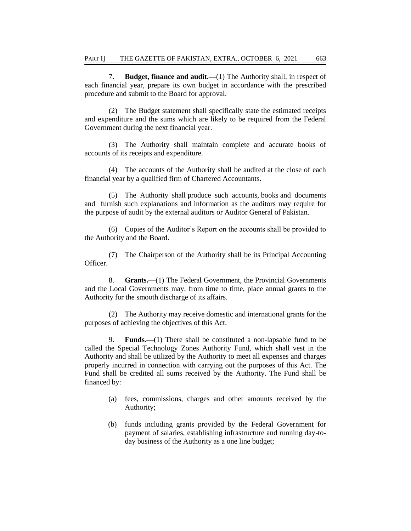7. **Budget, finance and audit.—**(1) The Authority shall, in respect of each financial year, prepare its own budget in accordance with the prescribed procedure and submit to the Board for approval.

(2) The Budget statement shall specifically state the estimated receipts and expenditure and the sums which are likely to be required from the Federal Government during the next financial year.

(3) The Authority shall maintain complete and accurate books of accounts of its receipts and expenditure.

(4) The accounts of the Authority shall be audited at the close of each financial year by a qualified firm of Chartered Accountants.

(5) The Authority shall produce such accounts, books and documents and furnish such explanations and information as the auditors may require for the purpose of audit by the external auditors or Auditor General of Pakistan.

(6) Copies of the Auditor's Report on the accounts shall be provided to the Authority and the Board.

(7) The Chairperson of the Authority shall be its Principal Accounting Officer.

8. **Grants.—**(1) The Federal Government, the Provincial Governments and the Local Governments may, from time to time, place annual grants to the Authority for the smooth discharge of its affairs.

(2) The Authority may receive domestic and international grants for the purposes of achieving the objectives of this Act.

9. **Funds.—**(1) There shall be constituted a non-lapsable fund to be called the Special Technology Zones Authority Fund, which shall vest in the Authority and shall be utilized by the Authority to meet all expenses and charges properly incurred in connection with carrying out the purposes of this Act. The Fund shall be credited all sums received by the Authority. The Fund shall be financed by:

- (a) fees, commissions, charges and other amounts received by the Authority;
- (b) funds including grants provided by the Federal Government for payment of salaries, establishing infrastructure and running day-today business of the Authority as a one line budget;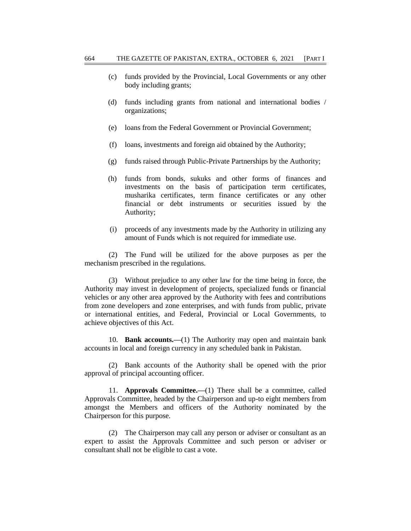- (c) funds provided by the Provincial, Local Governments or any other body including grants;
- (d) funds including grants from national and international bodies / organizations;
- (e) loans from the Federal Government or Provincial Government;
- (f) loans, investments and foreign aid obtained by the Authority;
- (g) funds raised through Public-Private Partnerships by the Authority;
- (h) funds from bonds, sukuks and other forms of finances and investments on the basis of participation term certificates, musharika certificates, term finance certificates or any other financial or debt instruments or securities issued by the Authority;
- (i) proceeds of any investments made by the Authority in utilizing any amount of Funds which is not required for immediate use.

(2) The Fund will be utilized for the above purposes as per the mechanism prescribed in the regulations.

(3) Without prejudice to any other law for the time being in force, the Authority may invest in development of projects, specialized funds or financial vehicles or any other area approved by the Authority with fees and contributions from zone developers and zone enterprises, and with funds from public, private or international entities, and Federal, Provincial or Local Governments, to achieve objectives of this Act.

10. **Bank accounts.—**(1) The Authority may open and maintain bank accounts in local and foreign currency in any scheduled bank in Pakistan.

(2) Bank accounts of the Authority shall be opened with the prior approval of principal accounting officer.

11. **Approvals Committee.—**(1) There shall be a committee, called Approvals Committee, headed by the Chairperson and up-to eight members from amongst the Members and officers of the Authority nominated by the Chairperson for this purpose.

(2) The Chairperson may call any person or adviser or consultant as an expert to assist the Approvals Committee and such person or adviser or consultant shall not be eligible to cast a vote.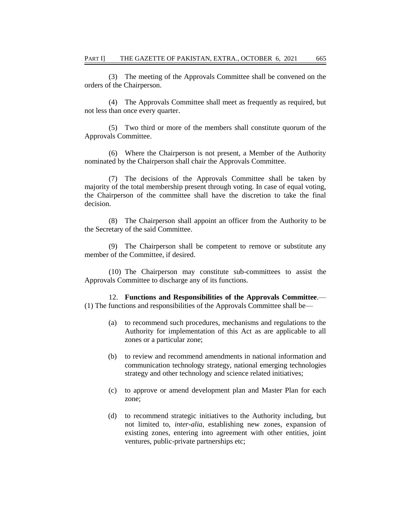(3) The meeting of the Approvals Committee shall be convened on the orders of the Chairperson.

(4) The Approvals Committee shall meet as frequently as required, but not less than once every quarter.

(5) Two third or more of the members shall constitute quorum of the Approvals Committee.

(6) Where the Chairperson is not present, a Member of the Authority nominated by the Chairperson shall chair the Approvals Committee.

(7) The decisions of the Approvals Committee shall be taken by majority of the total membership present through voting. In case of equal voting, the Chairperson of the committee shall have the discretion to take the final decision.

(8) The Chairperson shall appoint an officer from the Authority to be the Secretary of the said Committee.

(9) The Chairperson shall be competent to remove or substitute any member of the Committee, if desired.

(10) The Chairperson may constitute sub-committees to assist the Approvals Committee to discharge any of its functions.

12. **Functions and Responsibilities of the Approvals Committee**.— (1) The functions and responsibilities of the Approvals Committee shall be—

- (a) to recommend such procedures, mechanisms and regulations to the Authority for implementation of this Act as are applicable to all zones or a particular zone;
- (b) to review and recommend amendments in national information and communication technology strategy, national emerging technologies strategy and other technology and science related initiatives;
- (c) to approve or amend development plan and Master Plan for each zone;
- (d) to recommend strategic initiatives to the Authority including, but not limited to, *inter-alia*, establishing new zones, expansion of existing zones, entering into agreement with other entities, joint ventures, public-private partnerships etc;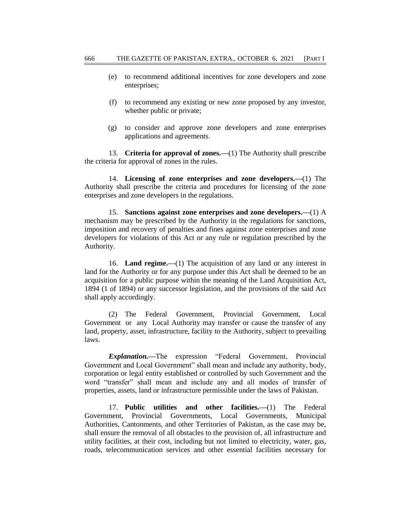- (e) to recommend additional incentives for zone developers and zone enterprises;
- (f) to recommend any existing or new zone proposed by any investor, whether public or private;
- (g) to consider and approve zone developers and zone enterprises applications and agreements.

13. **Criteria for approval of zones.—**(1) The Authority shall prescribe the criteria for approval of zones in the rules.

14. **Licensing of zone enterprises and zone developers.—**(1) The Authority shall prescribe the criteria and procedures for licensing of the zone enterprises and zone developers in the regulations.

15. **Sanctions against zone enterprises and zone developers.—**(1) A mechanism may be prescribed by the Authority in the regulations for sanctions, imposition and recovery of penalties and fines against zone enterprises and zone developers for violations of this Act or any rule or regulation prescribed by the Authority.

16. **Land regime.—**(1) The acquisition of any land or any interest in land for the Authority or for any purpose under this Act shall be deemed to be an acquisition for a public purpose within the meaning of the Land Acquisition Act, 1894 (1 of 1894) or any successor legislation, and the provisions of the said Act shall apply accordingly.

(2) The Federal Government, Provincial Government, Local Government or any Local Authority may transfer or cause the transfer of any land, property, asset, infrastructure, facility to the Authority, subject to prevailing laws.

*Explanation.—*The expression "Federal Government, Provincial Government and Local Government" shall mean and include any authority, body, corporation or legal entity established or controlled by such Government and the word "transfer" shall mean and include any and all modes of transfer of properties, assets, land or infrastructure permissible under the laws of Pakistan.

17. **Public utilities and other facilities.—**(1) The Federal Government, Provincial Governments, Local Governments, Municipal Authorities, Cantonments, and other Territories of Pakistan, as the case may be, shall ensure the removal of all obstacles to the provision of, all infrastructure and utility facilities, at their cost, including but not limited to electricity, water, gas, roads, telecommunication services and other essential facilities necessary for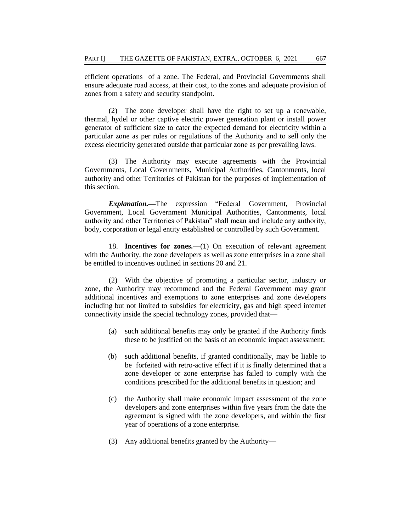efficient operations of a zone. The Federal, and Provincial Governments shall ensure adequate road access, at their cost, to the zones and adequate provision of zones from a safety and security standpoint.

(2) The zone developer shall have the right to set up a renewable, thermal, hydel or other captive electric power generation plant or install power generator of sufficient size to cater the expected demand for electricity within a particular zone as per rules or regulations of the Authority and to sell only the excess electricity generated outside that particular zone as per prevailing laws.

(3) The Authority may execute agreements with the Provincial Governments, Local Governments, Municipal Authorities, Cantonments, local authority and other Territories of Pakistan for the purposes of implementation of this section.

*Explanation.—*The expression "Federal Government, Provincial Government, Local Government Municipal Authorities, Cantonments, local authority and other Territories of Pakistan" shall mean and include any authority, body, corporation or legal entity established or controlled by such Government.

18. **Incentives for zones.—**(1) On execution of relevant agreement with the Authority, the zone developers as well as zone enterprises in a zone shall be entitled to incentives outlined in sections 20 and 21.

(2) With the objective of promoting a particular sector, industry or zone, the Authority may recommend and the Federal Government may grant additional incentives and exemptions to zone enterprises and zone developers including but not limited to subsidies for electricity, gas and high speed internet connectivity inside the special technology zones, provided that—

- (a) such additional benefits may only be granted if the Authority finds these to be justified on the basis of an economic impact assessment;
- (b) such additional benefits, if granted conditionally, may be liable to be forfeited with retro-active effect if it is finally determined that a zone developer or zone enterprise has failed to comply with the conditions prescribed for the additional benefits in question; and
- (c) the Authority shall make economic impact assessment of the zone developers and zone enterprises within five years from the date the agreement is signed with the zone developers, and within the first year of operations of a zone enterprise.
- (3) Any additional benefits granted by the Authority—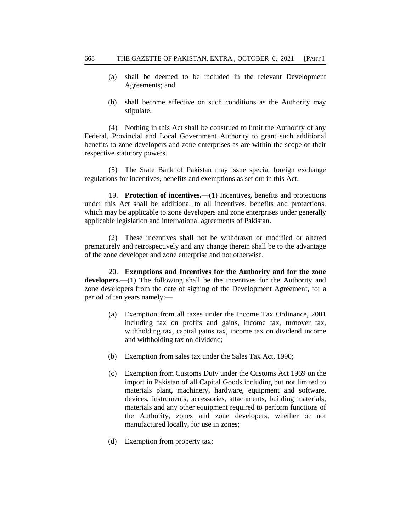- (a) shall be deemed to be included in the relevant Development Agreements; and
- (b) shall become effective on such conditions as the Authority may stipulate.

(4) Nothing in this Act shall be construed to limit the Authority of any Federal, Provincial and Local Government Authority to grant such additional benefits to zone developers and zone enterprises as are within the scope of their respective statutory powers.

(5) The State Bank of Pakistan may issue special foreign exchange regulations for incentives, benefits and exemptions as set out in this Act.

19. **Protection of incentives.—**(1) Incentives, benefits and protections under this Act shall be additional to all incentives, benefits and protections, which may be applicable to zone developers and zone enterprises under generally applicable legislation and international agreements of Pakistan.

(2) These incentives shall not be withdrawn or modified or altered prematurely and retrospectively and any change therein shall be to the advantage of the zone developer and zone enterprise and not otherwise.

20. **Exemptions and Incentives for the Authority and for the zone developers.—**(1) The following shall be the incentives for the Authority and zone developers from the date of signing of the Development Agreement, for a period of ten years namely:—

- (a) Exemption from all taxes under the Income Tax Ordinance, 2001 including tax on profits and gains, income tax, turnover tax, withholding tax, capital gains tax, income tax on dividend income and withholding tax on dividend;
- (b) Exemption from sales tax under the Sales Tax Act, 1990;
- (c) Exemption from Customs Duty under the Customs Act 1969 on the import in Pakistan of all Capital Goods including but not limited to materials plant, machinery, hardware, equipment and software, devices, instruments, accessories, attachments, building materials, materials and any other equipment required to perform functions of the Authority, zones and zone developers, whether or not manufactured locally, for use in zones;
- (d) Exemption from property tax;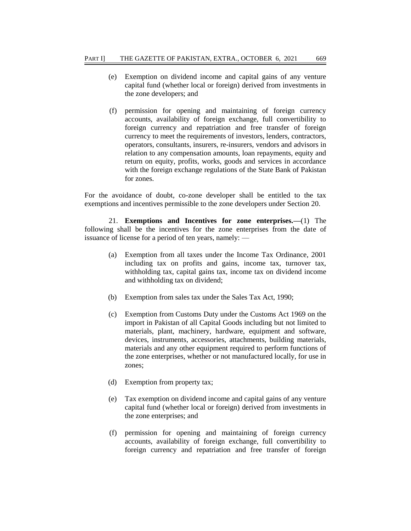- (e) Exemption on dividend income and capital gains of any venture capital fund (whether local or foreign) derived from investments in the zone developers; and
- (f) permission for opening and maintaining of foreign currency accounts, availability of foreign exchange, full convertibility to foreign currency and repatriation and free transfer of foreign currency to meet the requirements of investors, lenders, contractors, operators, consultants, insurers, re-insurers, vendors and advisors in relation to any compensation amounts, loan repayments, equity and return on equity, profits, works, goods and services in accordance with the foreign exchange regulations of the State Bank of Pakistan for zones.

For the avoidance of doubt, co-zone developer shall be entitled to the tax exemptions and incentives permissible to the zone developers under Section 20.

21. **Exemptions and Incentives for zone enterprises.—**(1) The following shall be the incentives for the zone enterprises from the date of issuance of license for a period of ten years, namely: —

- (a) Exemption from all taxes under the Income Tax Ordinance, 2001 including tax on profits and gains, income tax, turnover tax, withholding tax, capital gains tax, income tax on dividend income and withholding tax on dividend;
- (b) Exemption from sales tax under the Sales Tax Act, 1990;
- (c) Exemption from Customs Duty under the Customs Act 1969 on the import in Pakistan of all Capital Goods including but not limited to materials, plant, machinery, hardware, equipment and software, devices, instruments, accessories, attachments, building materials, materials and any other equipment required to perform functions of the zone enterprises, whether or not manufactured locally, for use in zones;
- (d) Exemption from property tax;
- (e) Tax exemption on dividend income and capital gains of any venture capital fund (whether local or foreign) derived from investments in the zone enterprises; and
- (f) permission for opening and maintaining of foreign currency accounts, availability of foreign exchange, full convertibility to foreign currency and repatriation and free transfer of foreign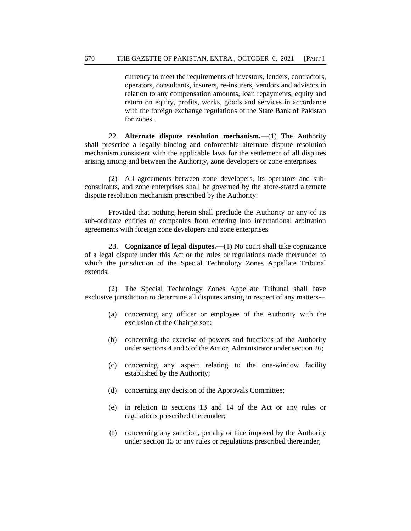currency to meet the requirements of investors, lenders, contractors, operators, consultants, insurers, re-insurers, vendors and advisors in relation to any compensation amounts, loan repayments, equity and return on equity, profits, works, goods and services in accordance with the foreign exchange regulations of the State Bank of Pakistan for zones.

22. **Alternate dispute resolution mechanism.—**(1) The Authority shall prescribe a legally binding and enforceable alternate dispute resolution mechanism consistent with the applicable laws for the settlement of all disputes arising among and between the Authority, zone developers or zone enterprises.

(2) All agreements between zone developers, its operators and subconsultants, and zone enterprises shall be governed by the afore-stated alternate dispute resolution mechanism prescribed by the Authority:

Provided that nothing herein shall preclude the Authority or any of its sub-ordinate entities or companies from entering into international arbitration agreements with foreign zone developers and zone enterprises.

23. **Cognizance of legal disputes.—**(1) No court shall take cognizance of a legal dispute under this Act or the rules or regulations made thereunder to which the jurisdiction of the Special Technology Zones Appellate Tribunal extends.

(2) The Special Technology Zones Appellate Tribunal shall have exclusive jurisdiction to determine all disputes arising in respect of any matters-–

- (a) concerning any officer or employee of the Authority with the exclusion of the Chairperson;
- (b) concerning the exercise of powers and functions of the Authority under sections 4 and 5 of the Act or, Administrator under section 26;
- (c) concerning any aspect relating to the one-window facility established by the Authority;
- (d) concerning any decision of the Approvals Committee;
- (e) in relation to sections 13 and 14 of the Act or any rules or regulations prescribed thereunder;
- (f) concerning any sanction, penalty or fine imposed by the Authority under section 15 or any rules or regulations prescribed thereunder;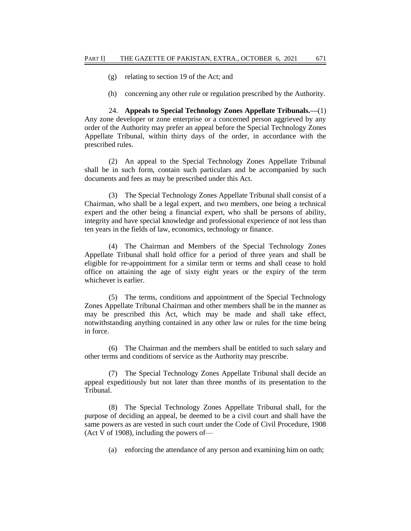- (g) relating to section 19 of the Act; and
- (h) concerning any other rule or regulation prescribed by the Authority.

24. **Appeals to Special Technology Zones Appellate Tribunals.—**(1) Any zone developer or zone enterprise or a concerned person aggrieved by any order of the Authority may prefer an appeal before the Special Technology Zones Appellate Tribunal, within thirty days of the order, in accordance with the prescribed rules.

(2) An appeal to the Special Technology Zones Appellate Tribunal shall be in such form, contain such particulars and be accompanied by such documents and fees as may be prescribed under this Act.

(3) The Special Technology Zones Appellate Tribunal shall consist of a Chairman, who shall be a legal expert, and two members, one being a technical expert and the other being a financial expert, who shall be persons of ability, integrity and have special knowledge and professional experience of not less than ten years in the fields of law, economics, technology or finance.

(4) The Chairman and Members of the Special Technology Zones Appellate Tribunal shall hold office for a period of three years and shall be eligible for re-appointment for a similar term or terms and shall cease to hold office on attaining the age of sixty eight years or the expiry of the term whichever is earlier.

(5) The terms, conditions and appointment of the Special Technology Zones Appellate Tribunal Chairman and other members shall be in the manner as may be prescribed this Act, which may be made and shall take effect, notwithstanding anything contained in any other law or rules for the time being in force.

(6) The Chairman and the members shall be entitled to such salary and other terms and conditions of service as the Authority may prescribe.

(7) The Special Technology Zones Appellate Tribunal shall decide an appeal expeditiously but not later than three months of its presentation to the Tribunal.

(8) The Special Technology Zones Appellate Tribunal shall, for the purpose of deciding an appeal, be deemed to be a civil court and shall have the same powers as are vested in such court under the Code of Civil Procedure, 1908 (Act V of 1908), including the powers of—

(a) enforcing the attendance of any person and examining him on oath;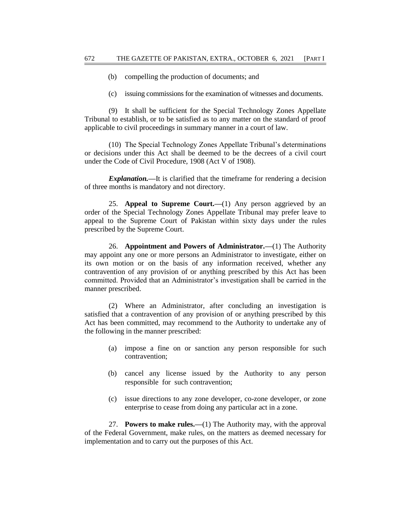- (b) compelling the production of documents; and
- (c) issuing commissions for the examination of witnesses and documents.

(9) It shall be sufficient for the Special Technology Zones Appellate Tribunal to establish, or to be satisfied as to any matter on the standard of proof applicable to civil proceedings in summary manner in a court of law.

(10) The Special Technology Zones Appellate Tribunal's determinations or decisions under this Act shall be deemed to be the decrees of a civil court under the Code of Civil Procedure, 1908 (Act V of 1908).

*Explanation.—*It is clarified that the timeframe for rendering a decision of three months is mandatory and not directory.

25. **Appeal to Supreme Court.—**(1) Any person aggrieved by an order of the Special Technology Zones Appellate Tribunal may prefer leave to appeal to the Supreme Court of Pakistan within sixty days under the rules prescribed by the Supreme Court.

26. **Appointment and Powers of Administrator.—**(1) The Authority may appoint any one or more persons an Administrator to investigate, either on its own motion or on the basis of any information received, whether any contravention of any provision of or anything prescribed by this Act has been committed. Provided that an Administrator's investigation shall be carried in the manner prescribed.

(2) Where an Administrator, after concluding an investigation is satisfied that a contravention of any provision of or anything prescribed by this Act has been committed, may recommend to the Authority to undertake any of the following in the manner prescribed:

- (a) impose a fine on or sanction any person responsible for such contravention;
- (b) cancel any license issued by the Authority to any person responsible for such contravention;
- (c) issue directions to any zone developer, co-zone developer, or zone enterprise to cease from doing any particular act in a zone.

27. **Powers to make rules.—**(1) The Authority may, with the approval of the Federal Government, make rules, on the matters as deemed necessary for implementation and to carry out the purposes of this Act.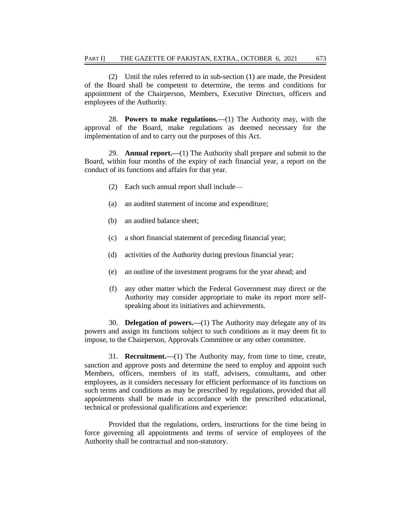(2) Until the rules referred to in sub-section (1) are made, the President of the Board shall be competent to determine, the terms and conditions for appointment of the Chairperson, Members, Executive Directors, officers and employees of the Authority.

28. **Powers to make regulations.—**(1) The Authority may, with the approval of the Board, make regulations as deemed necessary for the implementation of and to carry out the purposes of this Act.

29. **Annual report.—**(1) The Authority shall prepare and submit to the Board, within four months of the expiry of each financial year, a report on the conduct of its functions and affairs for that year.

- (2) Each such annual report shall include—
- (a) an audited statement of income and expenditure;
- (b) an audited balance sheet;
- (c) a short financial statement of preceding financial year;
- (d) activities of the Authority during previous financial year;
- (e) an outline of the investment programs for the year ahead; and
- (f) any other matter which the Federal Government may direct or the Authority may consider appropriate to make its report more selfspeaking about its initiatives and achievements.

30. **Delegation of powers.—**(1) The Authority may delegate any of its powers and assign its functions subject to such conditions as it may deem fit to impose, to the Chairperson, Approvals Committee or any other committee.

31. **Recruitment.—**(1) The Authority may, from time to time, create, sanction and approve posts and determine the need to employ and appoint such Members, officers, members of its staff, advisers, consultants, and other employees, as it considers necessary for efficient performance of its functions on such terms and conditions as may be prescribed by regulations, provided that all appointments shall be made in accordance with the prescribed educational, technical or professional qualifications and experience:

Provided that the regulations, orders, instructions for the time being in force governing all appointments and terms of service of employees of the Authority shall be contractual and non-statutory.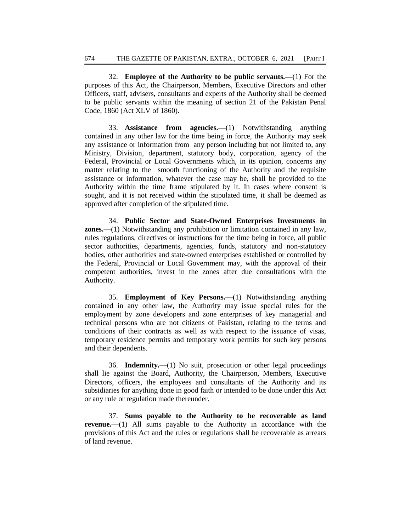32. **Employee of the Authority to be public servants.—**(1) For the purposes of this Act, the Chairperson, Members, Executive Directors and other Officers, staff, advisers, consultants and experts of the Authority shall be deemed to be public servants within the meaning of section 21 of the Pakistan Penal Code, 1860 (Act XLV of 1860).

33. **Assistance from agencies.—**(1) Notwithstanding anything contained in any other law for the time being in force, the Authority may seek any assistance or information from any person including but not limited to, any Ministry, Division, department, statutory body, corporation, agency of the Federal, Provincial or Local Governments which, in its opinion, concerns any matter relating to the smooth functioning of the Authority and the requisite assistance or information, whatever the case may be, shall be provided to the Authority within the time frame stipulated by it. In cases where consent is sought, and it is not received within the stipulated time, it shall be deemed as approved after completion of the stipulated time.

34. **Public Sector and State-Owned Enterprises Investments in zones.—**(1) Notwithstanding any prohibition or limitation contained in any law, rules regulations, directives or instructions for the time being in force, all public sector authorities, departments, agencies, funds, statutory and non-statutory bodies, other authorities and state-owned enterprises established or controlled by the Federal, Provincial or Local Government may, with the approval of their competent authorities, invest in the zones after due consultations with the Authority.

35. **Employment of Key Persons.—**(1) Notwithstanding anything contained in any other law, the Authority may issue special rules for the employment by zone developers and zone enterprises of key managerial and technical persons who are not citizens of Pakistan, relating to the terms and conditions of their contracts as well as with respect to the issuance of visas, temporary residence permits and temporary work permits for such key persons and their dependents.

36. **Indemnity.—**(1) No suit, prosecution or other legal proceedings shall lie against the Board, Authority, the Chairperson, Members, Executive Directors, officers, the employees and consultants of the Authority and its subsidiaries for anything done in good faith or intended to be done under this Act or any rule or regulation made thereunder.

37. **Sums payable to the Authority to be recoverable as land revenue.**—(1) All sums payable to the Authority in accordance with the provisions of this Act and the rules or regulations shall be recoverable as arrears of land revenue.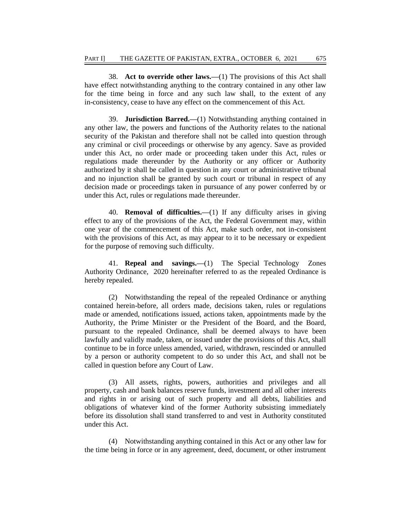38. **Act to override other laws.—**(1) The provisions of this Act shall have effect notwithstanding anything to the contrary contained in any other law for the time being in force and any such law shall, to the extent of any in-consistency, cease to have any effect on the commencement of this Act.

39. **Jurisdiction Barred.—**(1) Notwithstanding anything contained in any other law, the powers and functions of the Authority relates to the national security of the Pakistan and therefore shall not be called into question through any criminal or civil proceedings or otherwise by any agency. Save as provided under this Act, no order made or proceeding taken under this Act, rules or regulations made thereunder by the Authority or any officer or Authority authorized by it shall be called in question in any court or administrative tribunal and no injunction shall be granted by such court or tribunal in respect of any decision made or proceedings taken in pursuance of any power conferred by or under this Act, rules or regulations made thereunder.

40. **Removal of difficulties.—**(1) If any difficulty arises in giving effect to any of the provisions of the Act, the Federal Government may, within one year of the commencement of this Act, make such order, not in-consistent with the provisions of this Act, as may appear to it to be necessary or expedient for the purpose of removing such difficulty.

41. **Repeal and savings.—**(1) The Special Technology Zones Authority Ordinance, 2020 hereinafter referred to as the repealed Ordinance is hereby repealed.

(2) Notwithstanding the repeal of the repealed Ordinance or anything contained herein-before, all orders made, decisions taken, rules or regulations made or amended, notifications issued, actions taken, appointments made by the Authority, the Prime Minister or the President of the Board, and the Board, pursuant to the repealed Ordinance, shall be deemed always to have been lawfully and validly made, taken, or issued under the provisions of this Act, shall continue to be in force unless amended, varied, withdrawn, rescinded or annulled by a person or authority competent to do so under this Act, and shall not be called in question before any Court of Law.

(3) All assets, rights, powers, authorities and privileges and all property, cash and bank balances reserve funds, investment and all other interests and rights in or arising out of such property and all debts, liabilities and obligations of whatever kind of the former Authority subsisting immediately before its dissolution shall stand transferred to and vest in Authority constituted under this Act.

(4) Notwithstanding anything contained in this Act or any other law for the time being in force or in any agreement, deed, document, or other instrument